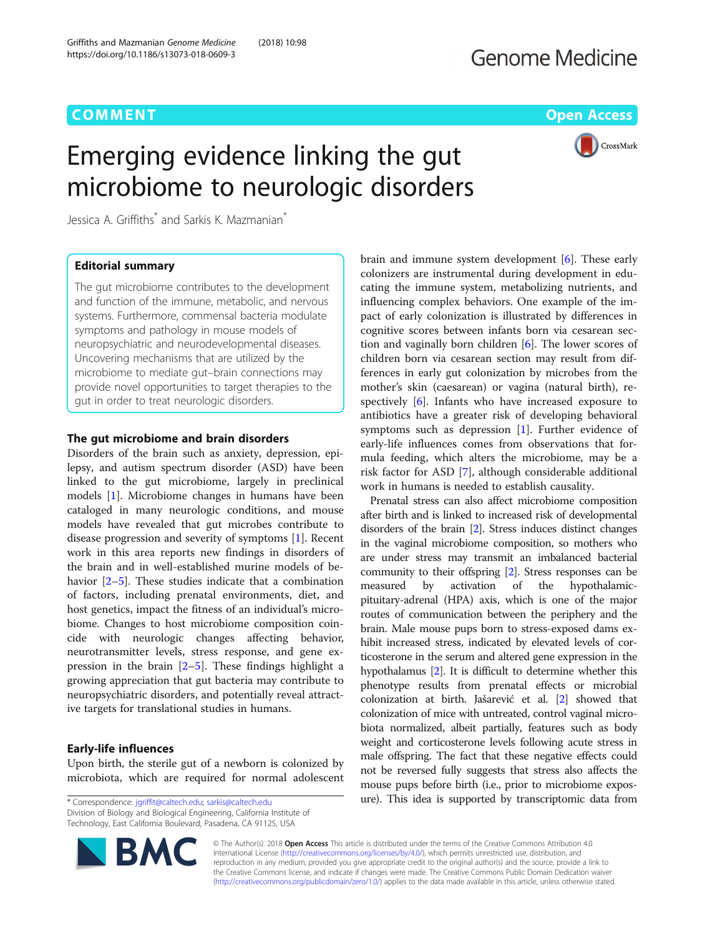## **COMMENT COMMENT COMMENT COMMENT**

CrossMark

# Emerging evidence linking the gut microbiome to neurologic disorders

Jessica A. Griffiths<sup>\*</sup> and Sarkis K. Mazmanian<sup>\*</sup>

## Editorial summary

The gut microbiome contributes to the development and function of the immune, metabolic, and nervous systems. Furthermore, commensal bacteria modulate symptoms and pathology in mouse models of neuropsychiatric and neurodevelopmental diseases. Uncovering mechanisms that are utilized by the microbiome to mediate gut–brain connections may provide novel opportunities to target therapies to the gut in order to treat neurologic disorders.

## The gut microbiome and brain disorders

Disorders of the brain such as anxiety, depression, epilepsy, and autism spectrum disorder (ASD) have been linked to the gut microbiome, largely in preclinical models [\[1](#page-2-0)]. Microbiome changes in humans have been cataloged in many neurologic conditions, and mouse models have revealed that gut microbes contribute to disease progression and severity of symptoms [\[1](#page-2-0)]. Recent work in this area reports new findings in disorders of the brain and in well-established murine models of behavior [\[2](#page-2-0)–[5\]](#page-2-0). These studies indicate that a combination of factors, including prenatal environments, diet, and host genetics, impact the fitness of an individual's microbiome. Changes to host microbiome composition coincide with neurologic changes affecting behavior, neurotransmitter levels, stress response, and gene expression in the brain [[2](#page-2-0)–[5\]](#page-2-0). These findings highlight a growing appreciation that gut bacteria may contribute to neuropsychiatric disorders, and potentially reveal attractive targets for translational studies in humans.

## Early-life influences

Upon birth, the sterile gut of a newborn is colonized by microbiota, which are required for normal adolescent

\* Correspondence: [jgriffit@caltech.edu](mailto:jgriffit@caltech.edu); [sarkis@caltech.edu](mailto:sarkis@caltech.edu)

Division of Biology and Biological Engineering, California Institute of Technology, East California Boulevard, Pasadena, CA 91125, USA



brain and immune system development [\[6](#page-2-0)]. These early colonizers are instrumental during development in educating the immune system, metabolizing nutrients, and influencing complex behaviors. One example of the impact of early colonization is illustrated by differences in cognitive scores between infants born via cesarean section and vaginally born children [[6](#page-2-0)]. The lower scores of children born via cesarean section may result from differences in early gut colonization by microbes from the mother's skin (caesarean) or vagina (natural birth), respectively [\[6](#page-2-0)]. Infants who have increased exposure to antibiotics have a greater risk of developing behavioral symptoms such as depression  $[1]$  $[1]$ . Further evidence of early-life influences comes from observations that formula feeding, which alters the microbiome, may be a risk factor for ASD [[7\]](#page-2-0), although considerable additional work in humans is needed to establish causality.

Prenatal stress can also affect microbiome composition after birth and is linked to increased risk of developmental disorders of the brain [[2\]](#page-2-0). Stress induces distinct changes in the vaginal microbiome composition, so mothers who are under stress may transmit an imbalanced bacterial community to their offspring [\[2](#page-2-0)]. Stress responses can be measured by activation of the hypothalamicpituitary-adrenal (HPA) axis, which is one of the major routes of communication between the periphery and the brain. Male mouse pups born to stress-exposed dams exhibit increased stress, indicated by elevated levels of corticosterone in the serum and altered gene expression in the hypothalamus [[2](#page-2-0)]. It is difficult to determine whether this phenotype results from prenatal effects or microbial colonization at birth. Jašarević et al. [[2](#page-2-0)] showed that colonization of mice with untreated, control vaginal microbiota normalized, albeit partially, features such as body weight and corticosterone levels following acute stress in male offspring. The fact that these negative effects could not be reversed fully suggests that stress also affects the mouse pups before birth (i.e., prior to microbiome exposure). This idea is supported by transcriptomic data from

© The Author(s). 2018 Open Access This article is distributed under the terms of the Creative Commons Attribution 4.0 International License [\(http://creativecommons.org/licenses/by/4.0/](http://creativecommons.org/licenses/by/4.0/)), which permits unrestricted use, distribution, and reproduction in any medium, provided you give appropriate credit to the original author(s) and the source, provide a link to the Creative Commons license, and indicate if changes were made. The Creative Commons Public Domain Dedication waiver [\(http://creativecommons.org/publicdomain/zero/1.0/](http://creativecommons.org/publicdomain/zero/1.0/)) applies to the data made available in this article, unless otherwise stated.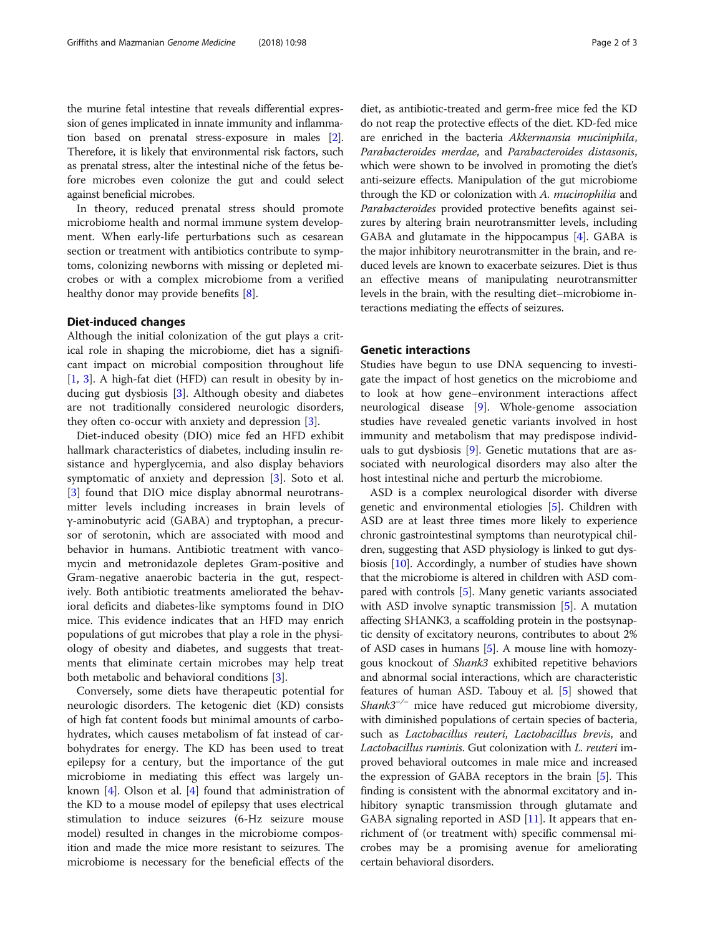the murine fetal intestine that reveals differential expression of genes implicated in innate immunity and inflammation based on prenatal stress-exposure in males [[2](#page-2-0)]. Therefore, it is likely that environmental risk factors, such as prenatal stress, alter the intestinal niche of the fetus before microbes even colonize the gut and could select against beneficial microbes.

In theory, reduced prenatal stress should promote microbiome health and normal immune system development. When early-life perturbations such as cesarean section or treatment with antibiotics contribute to symptoms, colonizing newborns with missing or depleted microbes or with a complex microbiome from a verified healthy donor may provide benefits [\[8\]](#page-2-0).

## Diet-induced changes

Although the initial colonization of the gut plays a critical role in shaping the microbiome, diet has a significant impact on microbial composition throughout life [[1,](#page-2-0) [3](#page-2-0)]. A high-fat diet (HFD) can result in obesity by inducing gut dysbiosis [\[3](#page-2-0)]. Although obesity and diabetes are not traditionally considered neurologic disorders, they often co-occur with anxiety and depression [\[3](#page-2-0)].

Diet-induced obesity (DIO) mice fed an HFD exhibit hallmark characteristics of diabetes, including insulin resistance and hyperglycemia, and also display behaviors symptomatic of anxiety and depression [\[3](#page-2-0)]. Soto et al. [[3\]](#page-2-0) found that DIO mice display abnormal neurotransmitter levels including increases in brain levels of γ-aminobutyric acid (GABA) and tryptophan, a precursor of serotonin, which are associated with mood and behavior in humans. Antibiotic treatment with vancomycin and metronidazole depletes Gram-positive and Gram-negative anaerobic bacteria in the gut, respectively. Both antibiotic treatments ameliorated the behavioral deficits and diabetes-like symptoms found in DIO mice. This evidence indicates that an HFD may enrich populations of gut microbes that play a role in the physiology of obesity and diabetes, and suggests that treatments that eliminate certain microbes may help treat both metabolic and behavioral conditions [[3\]](#page-2-0).

Conversely, some diets have therapeutic potential for neurologic disorders. The ketogenic diet (KD) consists of high fat content foods but minimal amounts of carbohydrates, which causes metabolism of fat instead of carbohydrates for energy. The KD has been used to treat epilepsy for a century, but the importance of the gut microbiome in mediating this effect was largely unknown [\[4](#page-2-0)]. Olson et al. [\[4](#page-2-0)] found that administration of the KD to a mouse model of epilepsy that uses electrical stimulation to induce seizures (6-Hz seizure mouse model) resulted in changes in the microbiome composition and made the mice more resistant to seizures. The microbiome is necessary for the beneficial effects of the diet, as antibiotic-treated and germ-free mice fed the KD do not reap the protective effects of the diet. KD-fed mice are enriched in the bacteria Akkermansia muciniphila, Parabacteroides merdae, and Parabacteroides distasonis, which were shown to be involved in promoting the diet's anti-seizure effects. Manipulation of the gut microbiome through the KD or colonization with A. mucinophilia and Parabacteroides provided protective benefits against seizures by altering brain neurotransmitter levels, including GABA and glutamate in the hippocampus [[4](#page-2-0)]. GABA is the major inhibitory neurotransmitter in the brain, and reduced levels are known to exacerbate seizures. Diet is thus an effective means of manipulating neurotransmitter levels in the brain, with the resulting diet–microbiome interactions mediating the effects of seizures.

## Genetic interactions

Studies have begun to use DNA sequencing to investigate the impact of host genetics on the microbiome and to look at how gene–environment interactions affect neurological disease [[9\]](#page-2-0). Whole-genome association studies have revealed genetic variants involved in host immunity and metabolism that may predispose individuals to gut dysbiosis [[9](#page-2-0)]. Genetic mutations that are associated with neurological disorders may also alter the host intestinal niche and perturb the microbiome.

ASD is a complex neurological disorder with diverse genetic and environmental etiologies [\[5\]](#page-2-0). Children with ASD are at least three times more likely to experience chronic gastrointestinal symptoms than neurotypical children, suggesting that ASD physiology is linked to gut dysbiosis [[10](#page-2-0)]. Accordingly, a number of studies have shown that the microbiome is altered in children with ASD compared with controls [\[5\]](#page-2-0). Many genetic variants associated with ASD involve synaptic transmission [[5\]](#page-2-0). A mutation affecting SHANK3, a scaffolding protein in the postsynaptic density of excitatory neurons, contributes to about 2% of ASD cases in humans [\[5](#page-2-0)]. A mouse line with homozygous knockout of Shank3 exhibited repetitive behaviors and abnormal social interactions, which are characteristic features of human ASD. Tabouy et al. [\[5](#page-2-0)] showed that Shank3<sup>-/-</sup> mice have reduced gut microbiome diversity, with diminished populations of certain species of bacteria, such as Lactobacillus reuteri, Lactobacillus brevis, and Lactobacillus ruminis. Gut colonization with L. reuteri improved behavioral outcomes in male mice and increased the expression of GABA receptors in the brain [[5\]](#page-2-0). This finding is consistent with the abnormal excitatory and inhibitory synaptic transmission through glutamate and GABA signaling reported in ASD  $[11]$ . It appears that enrichment of (or treatment with) specific commensal microbes may be a promising avenue for ameliorating certain behavioral disorders.